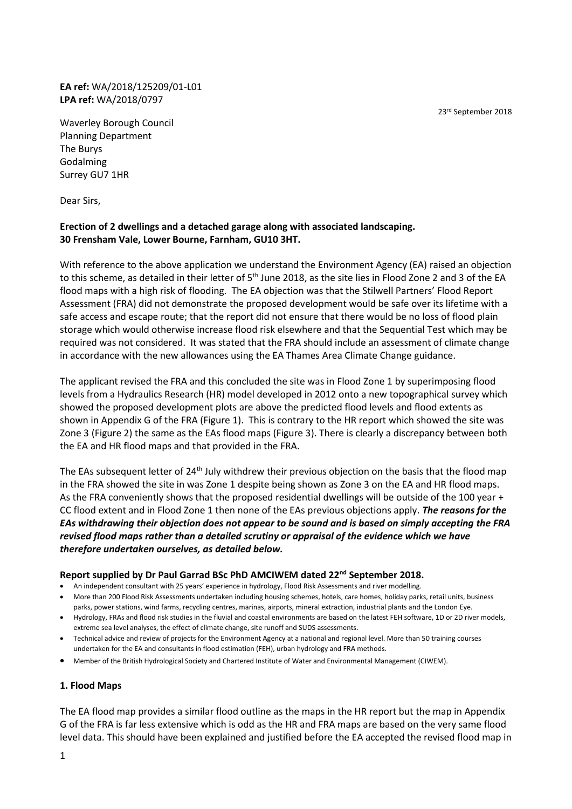23rd September 2018

**EA ref:** WA/2018/125209/01-L01 **LPA ref:** WA/2018/0797

Waverley Borough Council Planning Department The Burys Godalming Surrey GU7 1HR

Dear Sirs,

# **Erection of 2 dwellings and a detached garage along with associated landscaping. 30 Frensham Vale, Lower Bourne, Farnham, GU10 3HT.**

With reference to the above application we understand the Environment Agency (EA) raised an objection to this scheme, as detailed in their letter of 5<sup>th</sup> June 2018, as the site lies in Flood Zone 2 and 3 of the EA flood maps with a high risk of flooding. The EA objection was that the Stilwell Partners' Flood Report Assessment (FRA) did not demonstrate the proposed development would be safe over its lifetime with a safe access and escape route; that the report did not ensure that there would be no loss of flood plain storage which would otherwise increase flood risk elsewhere and that the Sequential Test which may be required was not considered. It was stated that the FRA should include an assessment of climate change in accordance with the new allowances using the EA Thames Area Climate Change guidance.

The applicant revised the FRA and this concluded the site was in Flood Zone 1 by superimposing flood levels from a Hydraulics Research (HR) model developed in 2012 onto a new topographical survey which showed the proposed development plots are above the predicted flood levels and flood extents as shown in Appendix G of the FRA (Figure 1). This is contrary to the HR report which showed the site was Zone 3 (Figure 2) the same as the EAs flood maps (Figure 3). There is clearly a discrepancy between both the EA and HR flood maps and that provided in the FRA.

The EAs subsequent letter of 24<sup>th</sup> July withdrew their previous objection on the basis that the flood map in the FRA showed the site in was Zone 1 despite being shown as Zone 3 on the EA and HR flood maps. As the FRA conveniently shows that the proposed residential dwellings will be outside of the 100 year + CC flood extent and in Flood Zone 1 then none of the EAs previous objections apply. *The reasons for the EAs withdrawing their objection does not appear to be sound and is based on simply accepting the FRA revised flood maps rather than a detailed scrutiny or appraisal of the evidence which we have therefore undertaken ourselves, as detailed below.* 

#### **Report supplied by Dr Paul Garrad BSc PhD AMCIWEM dated 22nd September 2018.**

- An independent consultant with 25 years' experience in hydrology, Flood Risk Assessments and river modelling.
- More than 200 Flood Risk Assessments undertaken including housing schemes, hotels, care homes, holiday parks, retail units, business parks, power stations, wind farms, recycling centres, marinas, airports, mineral extraction, industrial plants and the London Eye.
- Hydrology, FRAs and flood risk studies in the fluvial and coastal environments are based on the latest FEH software, 1D or 2D river models, extreme sea level analyses, the effect of climate change, site runoff and SUDS assessments.
- Technical advice and review of projects for the Environment Agency at a national and regional level. More than 50 training courses undertaken for the EA and consultants in flood estimation (FEH), urban hydrology and FRA methods.
- Member of the British Hydrological Society and Chartered Institute of Water and Environmental Management (CIWEM).

#### **1. Flood Maps**

The EA flood map provides a similar flood outline as the maps in the HR report but the map in Appendix G of the FRA is far less extensive which is odd as the HR and FRA maps are based on the very same flood level data. This should have been explained and justified before the EA accepted the revised flood map in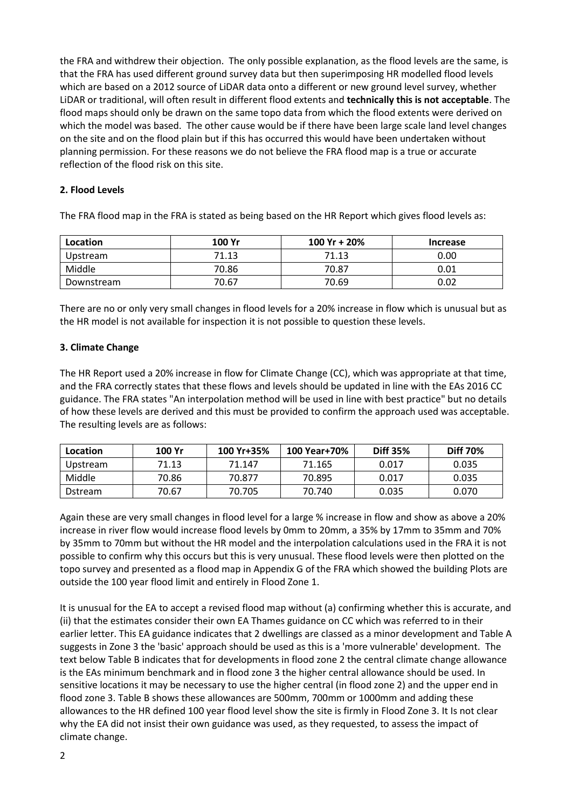the FRA and withdrew their objection. The only possible explanation, as the flood levels are the same, is that the FRA has used different ground survey data but then superimposing HR modelled flood levels which are based on a 2012 source of LiDAR data onto a different or new ground level survey, whether LiDAR or traditional, will often result in different flood extents and **technically this is not acceptable**. The flood maps should only be drawn on the same topo data from which the flood extents were derived on which the model was based. The other cause would be if there have been large scale land level changes on the site and on the flood plain but if this has occurred this would have been undertaken without planning permission. For these reasons we do not believe the FRA flood map is a true or accurate reflection of the flood risk on this site.

## **2. Flood Levels**

The FRA flood map in the FRA is stated as being based on the HR Report which gives flood levels as:

| Location   | 100 Yr | 100 Yr + 20% | <b>Increase</b> |
|------------|--------|--------------|-----------------|
| Upstream   | 71.13  | 71.13        | 0.00            |
| Middle     | 70.86  | 70.87        | 0.01            |
| Downstream | 70.67  | 70.69        | 0.02            |

There are no or only very small changes in flood levels for a 20% increase in flow which is unusual but as the HR model is not available for inspection it is not possible to question these levels.

### **3. Climate Change**

The HR Report used a 20% increase in flow for Climate Change (CC), which was appropriate at that time, and the FRA correctly states that these flows and levels should be updated in line with the EAs 2016 CC guidance. The FRA states "An interpolation method will be used in line with best practice" but no details of how these levels are derived and this must be provided to confirm the approach used was acceptable. The resulting levels are as follows:

| Location        | 100 Yr | 100 Yr+35% | 100 Year+70% | <b>Diff 35%</b> | <b>Diff 70%</b> |
|-----------------|--------|------------|--------------|-----------------|-----------------|
| Upstream        | 71.13  | 71.147     | 71.165       | 0.017           | 0.035           |
| Middle          | 70.86  | 70.877     | 70.895       | 0.017           | 0.035           |
| <b>D</b> stream | 70.67  | 70.705     | 70.740       | 0.035           | 0.070           |

Again these are very small changes in flood level for a large % increase in flow and show as above a 20% increase in river flow would increase flood levels by 0mm to 20mm, a 35% by 17mm to 35mm and 70% by 35mm to 70mm but without the HR model and the interpolation calculations used in the FRA it is not possible to confirm why this occurs but this is very unusual. These flood levels were then plotted on the topo survey and presented as a flood map in Appendix G of the FRA which showed the building Plots are outside the 100 year flood limit and entirely in Flood Zone 1.

It is unusual for the EA to accept a revised flood map without (a) confirming whether this is accurate, and (ii) that the estimates consider their own EA Thames guidance on CC which was referred to in their earlier letter. This EA guidance indicates that 2 dwellings are classed as a minor development and Table A suggests in Zone 3 the 'basic' approach should be used as this is a 'more vulnerable' development. The text below Table B indicates that for developments in flood zone 2 the central climate change allowance is the EAs minimum benchmark and in flood zone 3 the higher central allowance should be used. In sensitive locations it may be necessary to use the higher central (in flood zone 2) and the upper end in flood zone 3. Table B shows these allowances are 500mm, 700mm or 1000mm and adding these allowances to the HR defined 100 year flood level show the site is firmly in Flood Zone 3. It Is not clear why the EA did not insist their own guidance was used, as they requested, to assess the impact of climate change.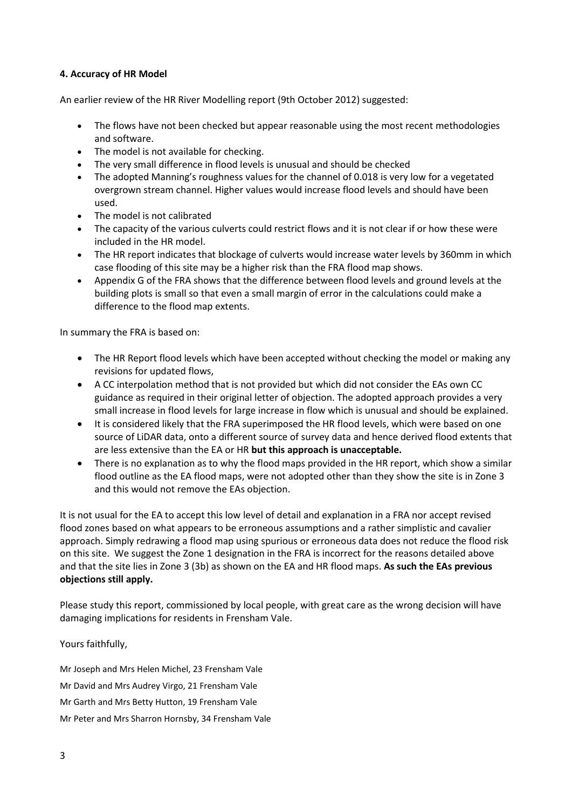## **4. Accuracy of HR Model**

An earlier review of the HR River Modelling report (9th October 2012) suggested:

- The flows have not been checked but appear reasonable using the most recent methodologies and software.
- The model is not available for checking.
- The very small difference in flood levels is unusual and should be checked
- The adopted Manning's roughness values for the channel of 0.018 is very low for a vegetated overgrown stream channel. Higher values would increase flood levels and should have been used.
- The model is not calibrated
- The capacity of the various culverts could restrict flows and it is not clear if or how these were included in the HR model.
- The HR report indicates that blockage of culverts would increase water levels by 360mm in which case flooding of this site may be a higher risk than the FRA flood map shows.
- Appendix G of the FRA shows that the difference between flood levels and ground levels at the building plots is small so that even a small margin of error in the calculations could make a difference to the flood map extents.

In summary the FRA is based on:

- The HR Report flood levels which have been accepted without checking the model or making any revisions for updated flows,
- A CC interpolation method that is not provided but which did not consider the EAs own CC guidance as required in their original letter of objection. The adopted approach provides a very small increase in flood levels for large increase in flow which is unusual and should be explained.
- It is considered likely that the FRA superimposed the HR flood levels, which were based on one source of LiDAR data, onto a different source of survey data and hence derived flood extents that are less extensive than the EA or HR **but this approach is unacceptable.**
- There is no explanation as to why the flood maps provided in the HR report, which show a similar flood outline as the EA flood maps, were not adopted other than they show the site is in Zone 3 and this would not remove the EAs objection.

It is not usual for the EA to accept this low level of detail and explanation in a FRA nor accept revised flood zones based on what appears to be erroneous assumptions and a rather simplistic and cavalier approach. Simply redrawing a flood map using spurious or erroneous data does not reduce the flood risk on this site. We suggest the Zone 1 designation in the FRA is incorrect for the reasons detailed above and that the site lies in Zone 3 (3b) as shown on the EA and HR flood maps. **As such the EAs previous objections still apply.**

Please study this report, commissioned by local people, with great care as the wrong decision will have damaging implications for residents in Frensham Vale.

Yours faithfully,

Mr Joseph and Mrs Helen Michel, 23 Frensham Vale Mr David and Mrs Audrey Virgo, 21 Frensham Vale Mr Garth and Mrs Betty Hutton, 19 Frensham Vale Mr Peter and Mrs Sharron Hornsby, 34 Frensham Vale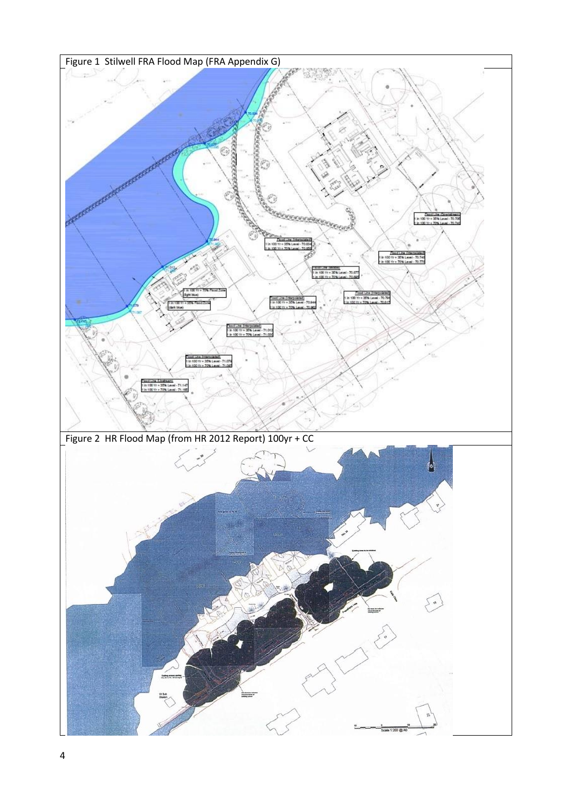